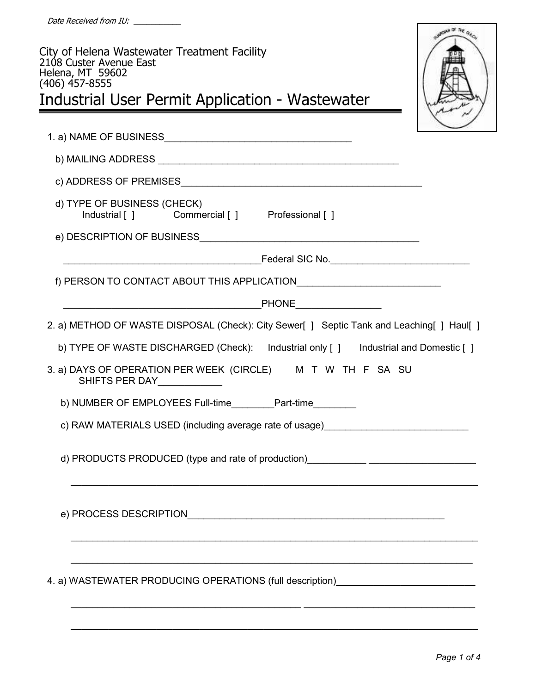| City of Helena Wastewater Treatment Facility<br>2108 Custer Avenue East<br>Helena, MT 59602<br>(406) 457-8555<br>Industrial User Permit Application - Wastewater                                        | <b>SOLAR DT THE QU</b> |
|---------------------------------------------------------------------------------------------------------------------------------------------------------------------------------------------------------|------------------------|
|                                                                                                                                                                                                         |                        |
|                                                                                                                                                                                                         |                        |
|                                                                                                                                                                                                         |                        |
| d) TYPE OF BUSINESS (CHECK)<br>Industrial [ ] Commercial [ ] Professional [ ]                                                                                                                           |                        |
|                                                                                                                                                                                                         |                        |
|                                                                                                                                                                                                         |                        |
| f) PERSON TO CONTACT ABOUT THIS APPLICATION CONTACT AND RELEASED ASSESSMENT RELATIONS OF PERSON TO CONTACT ABOUT THIS APPLICATION                                                                       |                        |
| <b>Example 19 PHONE</b>                                                                                                                                                                                 |                        |
| 2. a) METHOD OF WASTE DISPOSAL (Check): City Sewer[ ] Septic Tank and Leaching[ ] Haul[ ]                                                                                                               |                        |
| b) TYPE OF WASTE DISCHARGED (Check): Industrial only [] Industrial and Domestic []                                                                                                                      |                        |
| 3. a) DAYS OF OPERATION PER WEEK (CIRCLE) M T W TH F SA SU<br>SHIFTS PER DAY____________                                                                                                                |                        |
| b) NUMBER OF EMPLOYEES Full-time__________ Part-time_________                                                                                                                                           |                        |
| c) RAW MATERIALS USED (including average rate of usage) ________________________                                                                                                                        |                        |
| d) PRODUCTS PRODUCED (type and rate of production)_______________________________                                                                                                                       |                        |
|                                                                                                                                                                                                         |                        |
| <u> 1989 - 1989 - 1989 - 1989 - 1989 - 1989 - 1989 - 1989 - 1989 - 1989 - 1989 - 1989 - 1989 - 1989 - 1989 - 19</u><br>4. a) WASTEWATER PRODUCING OPERATIONS (full description)________________________ |                        |
|                                                                                                                                                                                                         |                        |

\_\_\_\_\_\_\_\_\_\_\_\_\_\_\_\_\_\_\_\_\_\_\_\_\_\_\_\_\_\_\_\_\_\_\_\_\_\_\_\_\_\_\_\_\_\_\_\_\_\_\_\_\_\_\_\_\_\_\_\_\_\_\_\_\_\_\_\_\_\_\_\_\_\_\_\_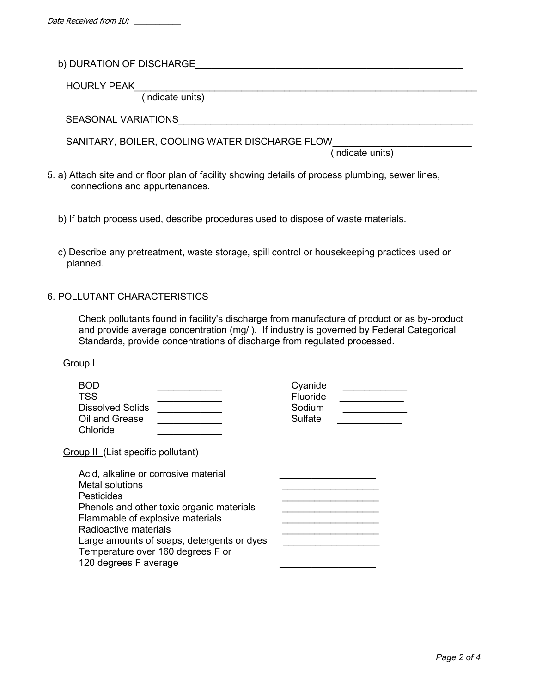b) DURATION OF DISCHARGE

HOURLY PEAK

(indicate units)

SEASONAL VARIATIONS\_\_\_\_\_\_\_\_\_\_\_\_\_\_\_\_\_\_\_\_\_\_\_\_\_\_\_\_\_\_\_\_\_\_\_\_\_\_\_\_\_\_\_\_\_\_\_\_\_\_\_\_\_\_\_

SANITARY, BOILER, COOLING WATER DISCHARGE FLOW

(indicate units)

- 5. a) Attach site and or floor plan of facility showing details of process plumbing, sewer lines, connections and appurtenances.
	- b) If batch process used, describe procedures used to dispose of waste materials.
	- c) Describe any pretreatment, waste storage, spill control or housekeeping practices used or planned.

### 6. POLLUTANT CHARACTERISTICS

 Check pollutants found in facility's discharge from manufacture of product or as by-product and provide average concentration (mg/l). If industry is governed by Federal Categorical Standards, provide concentrations of discharge from regulated processed.

#### Group I

| <b>BOD</b><br><b>TSS</b><br><b>Dissolved Solids</b><br>Oil and Grease<br>Chloride                      | Cyanide<br>Fluoride<br>Sodium<br>Sulfate |  |  |  |  |  |
|--------------------------------------------------------------------------------------------------------|------------------------------------------|--|--|--|--|--|
| Group II (List specific pollutant)                                                                     |                                          |  |  |  |  |  |
| Acid, alkaline or corrosive material<br>Metal solutions<br><b>Pesticides</b>                           |                                          |  |  |  |  |  |
| Phenols and other toxic organic materials<br>Flammable of explosive materials<br>Radioactive materials |                                          |  |  |  |  |  |
| Large amounts of soaps, detergents or dyes<br>Temperature over 160 degrees F or                        |                                          |  |  |  |  |  |

120 degrees F average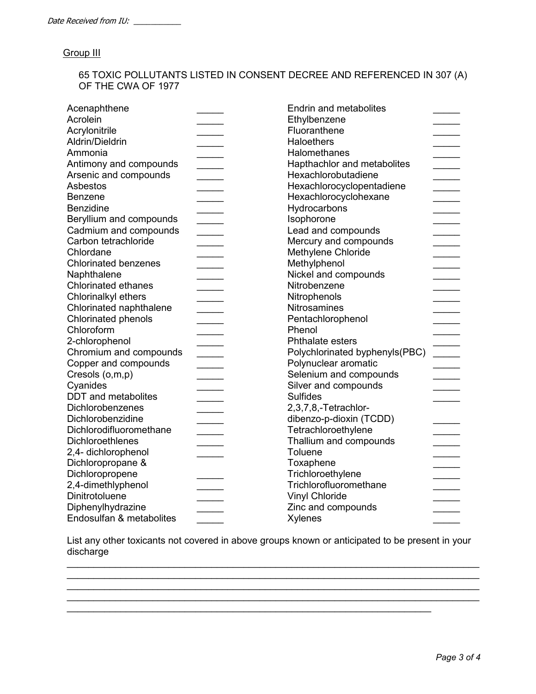### **Group III**

 65 TOXIC POLLUTANTS LISTED IN CONSENT DECREE AND REFERENCED IN 307 (A) OF THE CWA OF 1977

| Acenaphthene                |                          | <b>Endrin and metabolites</b>  |  |
|-----------------------------|--------------------------|--------------------------------|--|
| Acrolein                    |                          | Ethylbenzene                   |  |
| Acrylonitrile               |                          | Fluoranthene                   |  |
| Aldrin/Dieldrin             |                          | <b>Haloethers</b>              |  |
| Ammonia                     |                          | Halomethanes                   |  |
| Antimony and compounds      |                          | Hapthachlor and metabolites    |  |
| Arsenic and compounds       |                          | Hexachlorobutadiene            |  |
| Asbestos                    |                          | Hexachlorocyclopentadiene      |  |
| Benzene                     |                          | Hexachlorocyclohexane          |  |
| <b>Benzidine</b>            |                          | Hydrocarbons                   |  |
| Beryllium and compounds     |                          | Isophorone                     |  |
| Cadmium and compounds       | <b>Contract Contract</b> | Lead and compounds             |  |
| Carbon tetrachloride        |                          | Mercury and compounds          |  |
| Chlordane                   |                          | Methylene Chloride             |  |
| <b>Chlorinated benzenes</b> |                          | Methylphenol                   |  |
| Naphthalene                 |                          | Nickel and compounds           |  |
| <b>Chlorinated ethanes</b>  |                          | Nitrobenzene                   |  |
| Chlorinalkyl ethers         |                          | Nitrophenols                   |  |
| Chlorinated naphthalene     |                          | <b>Nitrosamines</b>            |  |
| <b>Chlorinated phenols</b>  |                          | Pentachlorophenol              |  |
| Chloroform                  |                          | Phenol                         |  |
| 2-chlorophenol              |                          | Phthalate esters               |  |
| Chromium and compounds      |                          | Polychlorinated byphenyls(PBC) |  |
| Copper and compounds        |                          | Polynuclear aromatic           |  |
| Cresols (o,m,p)             |                          | Selenium and compounds         |  |
| Cyanides                    |                          | Silver and compounds           |  |
| <b>DDT</b> and metabolites  |                          | <b>Sulfides</b>                |  |
| Dichlorobenzenes            |                          | 2,3,7,8,-Tetrachlor-           |  |
| Dichlorobenzidine           |                          | dibenzo-p-dioxin (TCDD)        |  |
| Dichlorodifluoromethane     |                          | Tetrachloroethylene            |  |
| Dichloroethlenes            |                          | Thallium and compounds         |  |
| 2,4- dichlorophenol         |                          | Toluene                        |  |
| Dichloropropane &           |                          | Toxaphene                      |  |
| Dichloropropene             |                          | Trichloroethylene              |  |
| 2,4-dimethlyphenol          |                          | Trichlorofluoromethane         |  |
| Dinitrotoluene              |                          | <b>Vinyl Chloride</b>          |  |
| Diphenylhydrazine           |                          | Zinc and compounds             |  |
| Endosulfan & metabolites    |                          | <b>Xylenes</b>                 |  |

 List any other toxicants not covered in above groups known or anticipated to be present in your discharge

\_\_\_\_\_\_\_\_\_\_\_\_\_\_\_\_\_\_\_\_\_\_\_\_\_\_\_\_\_\_\_\_\_\_\_\_\_\_\_\_\_\_\_\_\_\_\_\_\_\_\_\_\_\_\_\_\_\_\_\_\_\_\_\_\_\_\_\_

\_\_\_\_\_\_\_\_\_\_\_\_\_\_\_\_\_\_\_\_\_\_\_\_\_\_\_\_\_\_\_\_\_\_\_\_\_\_\_\_\_\_\_\_\_\_\_\_\_\_\_\_\_\_\_\_\_\_\_\_\_\_\_\_\_\_\_\_\_\_\_\_\_\_\_\_\_  $\mathcal{L}_\mathcal{L} = \mathcal{L}_\mathcal{L} = \mathcal{L}_\mathcal{L} = \mathcal{L}_\mathcal{L} = \mathcal{L}_\mathcal{L} = \mathcal{L}_\mathcal{L} = \mathcal{L}_\mathcal{L} = \mathcal{L}_\mathcal{L} = \mathcal{L}_\mathcal{L} = \mathcal{L}_\mathcal{L} = \mathcal{L}_\mathcal{L} = \mathcal{L}_\mathcal{L} = \mathcal{L}_\mathcal{L} = \mathcal{L}_\mathcal{L} = \mathcal{L}_\mathcal{L} = \mathcal{L}_\mathcal{L} = \mathcal{L}_\mathcal{L}$  $\mathcal{L}_\mathcal{L} = \{ \mathcal{L}_\mathcal{L} = \{ \mathcal{L}_\mathcal{L} = \{ \mathcal{L}_\mathcal{L} = \{ \mathcal{L}_\mathcal{L} = \{ \mathcal{L}_\mathcal{L} = \{ \mathcal{L}_\mathcal{L} = \{ \mathcal{L}_\mathcal{L} = \{ \mathcal{L}_\mathcal{L} = \{ \mathcal{L}_\mathcal{L} = \{ \mathcal{L}_\mathcal{L} = \{ \mathcal{L}_\mathcal{L} = \{ \mathcal{L}_\mathcal{L} = \{ \mathcal{L}_\mathcal{L} = \{ \mathcal{L}_\mathcal{$ \_\_\_\_\_\_\_\_\_\_\_\_\_\_\_\_\_\_\_\_\_\_\_\_\_\_\_\_\_\_\_\_\_\_\_\_\_\_\_\_\_\_\_\_\_\_\_\_\_\_\_\_\_\_\_\_\_\_\_\_\_\_\_\_\_\_\_\_\_\_\_\_\_\_\_\_\_